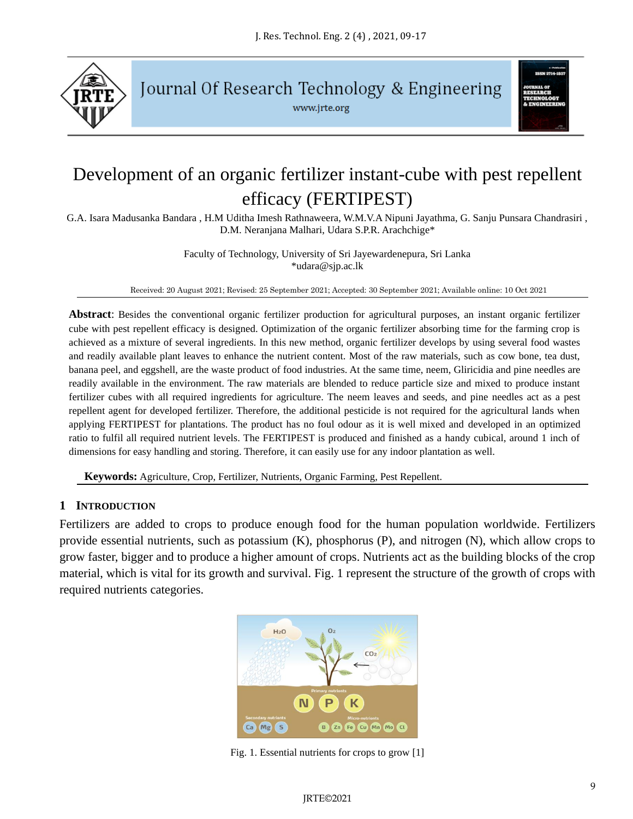

Journal Of Research Technology & Engineering

www.jrte.org



# Development of an organic fertilizer instant-cube with pest repellent efficacy (FERTIPEST)

G.A. Isara Madusanka Bandara , H.M Uditha Imesh Rathnaweera, W.M.V.A Nipuni Jayathma, G. Sanju Punsara Chandrasiri , D.M. Neranjana Malhari, Udara S.P.R. Arachchige\*

> Faculty of Technology, University of Sri Jayewardenepura, Sri Lanka \*udara@sjp.ac.lk

Received: 20 August 2021; Revised: 25 September 2021; Accepted: 30 September 2021; Available online: 10 Oct 2021

**Abstract**: Besides the conventional organic fertilizer production for agricultural purposes, an instant organic fertilizer cube with pest repellent efficacy is designed. Optimization of the organic fertilizer absorbing time for the farming crop is achieved as a mixture of several ingredients. In this new method, organic fertilizer develops by using several food wastes and readily available plant leaves to enhance the nutrient content. Most of the raw materials, such as cow bone, tea dust, banana peel, and eggshell, are the waste product of food industries. At the same time, neem, Gliricidia and pine needles are readily available in the environment. The raw materials are blended to reduce particle size and mixed to produce instant fertilizer cubes with all required ingredients for agriculture. The neem leaves and seeds, and pine needles act as a pest repellent agent for developed fertilizer. Therefore, the additional pesticide is not required for the agricultural lands when applying FERTIPEST for plantations. The product has no foul odour as it is well mixed and developed in an optimized ratio to fulfil all required nutrient levels. The FERTIPEST is produced and finished as a handy cubical, around 1 inch of dimensions for easy handling and storing. Therefore, it can easily use for any indoor plantation as well.

**Keywords:** Agriculture, Crop, Fertilizer, Nutrients, Organic Farming, Pest Repellent.

## **1 INTRODUCTION**

Fertilizers are added to crops to produce enough food for the human population worldwide. Fertilizers provide essential nutrients, such as potassium (K), phosphorus (P), and nitrogen (N), which allow crops to grow faster, bigger and to produce a higher amount of crops. Nutrients act as the building blocks of the crop material, which is vital for its growth and survival. Fig. 1 represent the structure of the growth of crops with required nutrients categories.



Fig. 1. Essential nutrients for crops to grow [1]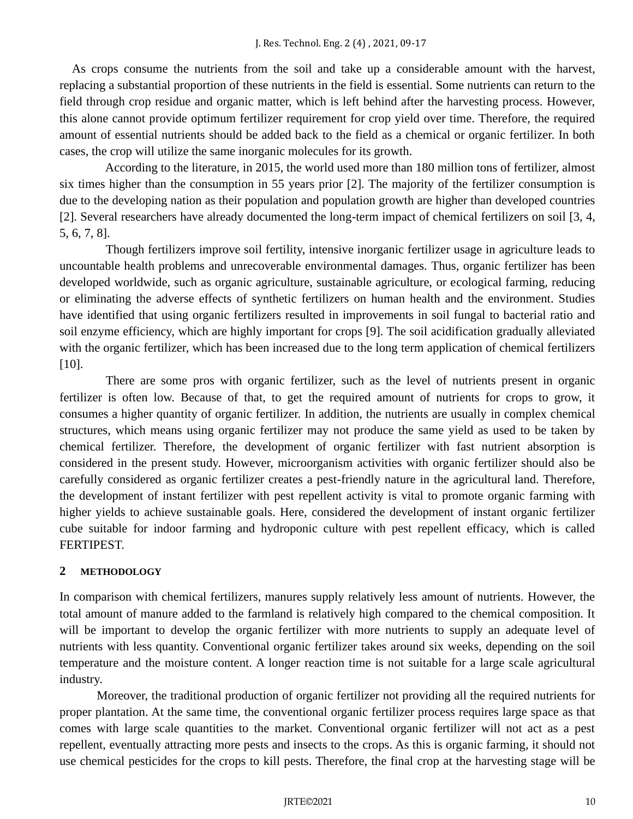As crops consume the nutrients from the soil and take up a considerable amount with the harvest, replacing a substantial proportion of these nutrients in the field is essential. Some nutrients can return to the field through crop residue and organic matter, which is left behind after the harvesting process. However, this alone cannot provide optimum fertilizer requirement for crop yield over time. Therefore, the required amount of essential nutrients should be added back to the field as a chemical or organic fertilizer. In both cases, the crop will utilize the same inorganic molecules for its growth.

 According to the literature, in 2015, the world used more than 180 million tons of fertilizer, almost six times higher than the consumption in 55 years prior [2]. The majority of the fertilizer consumption is due to the developing nation as their population and population growth are higher than developed countries [2]. Several researchers have already documented the long-term impact of chemical fertilizers on soil [3, 4, 5, 6, 7, 8].

 Though fertilizers improve soil fertility, intensive inorganic fertilizer usage in agriculture leads to uncountable health problems and unrecoverable environmental damages. Thus, organic fertilizer has been developed worldwide, such as organic agriculture, sustainable agriculture, or ecological farming, reducing or eliminating the adverse effects of synthetic fertilizers on human health and the environment. Studies have identified that using organic fertilizers resulted in improvements in soil fungal to bacterial ratio and soil enzyme efficiency, which are highly important for crops [9]. The soil acidification gradually alleviated with the organic fertilizer, which has been increased due to the long term application of chemical fertilizers [10].

 There are some pros with organic fertilizer, such as the level of nutrients present in organic fertilizer is often low. Because of that, to get the required amount of nutrients for crops to grow, it consumes a higher quantity of organic fertilizer. In addition, the nutrients are usually in complex chemical structures, which means using organic fertilizer may not produce the same yield as used to be taken by chemical fertilizer. Therefore, the development of organic fertilizer with fast nutrient absorption is considered in the present study. However, microorganism activities with organic fertilizer should also be carefully considered as organic fertilizer creates a pest-friendly nature in the agricultural land. Therefore, the development of instant fertilizer with pest repellent activity is vital to promote organic farming with higher yields to achieve sustainable goals. Here, considered the development of instant organic fertilizer cube suitable for indoor farming and hydroponic culture with pest repellent efficacy, which is called FERTIPEST.

# **2 METHODOLOGY**

In comparison with chemical fertilizers, manures supply relatively less amount of nutrients. However, the total amount of manure added to the farmland is relatively high compared to the chemical composition. It will be important to develop the organic fertilizer with more nutrients to supply an adequate level of nutrients with less quantity. Conventional organic fertilizer takes around six weeks, depending on the soil temperature and the moisture content. A longer reaction time is not suitable for a large scale agricultural industry.

Moreover, the traditional production of organic fertilizer not providing all the required nutrients for proper plantation. At the same time, the conventional organic fertilizer process requires large space as that comes with large scale quantities to the market. Conventional organic fertilizer will not act as a pest repellent, eventually attracting more pests and insects to the crops. As this is organic farming, it should not use chemical pesticides for the crops to kill pests. Therefore, the final crop at the harvesting stage will be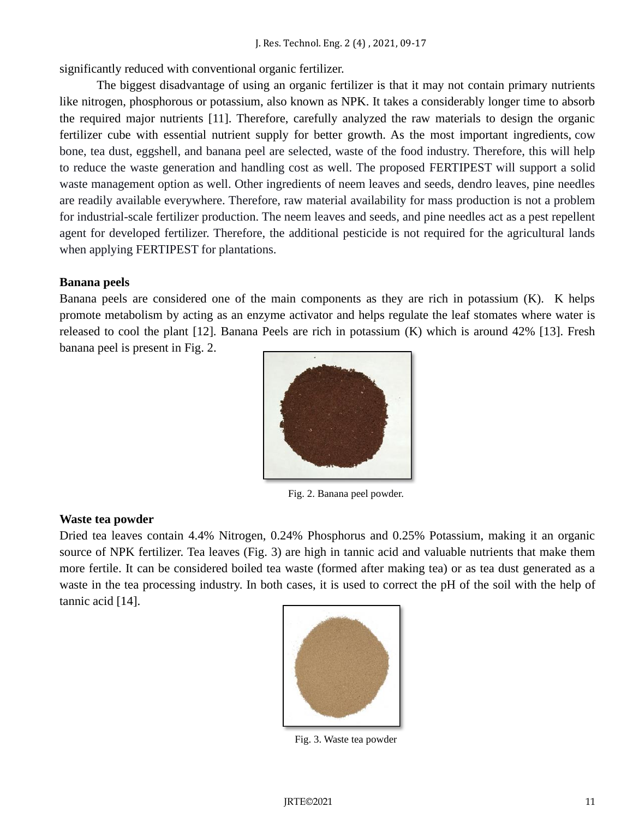significantly reduced with conventional organic fertilizer.

The biggest disadvantage of using an organic fertilizer is that it may not contain primary nutrients like nitrogen, phosphorous or potassium, also known as NPK. It takes a considerably longer time to absorb the required major nutrients [11]. Therefore, carefully analyzed the raw materials to design the organic fertilizer cube with essential nutrient supply for better growth. As the most important ingredients, cow bone, tea dust, eggshell, and banana peel are selected, waste of the food industry. Therefore, this will help to reduce the waste generation and handling cost as well. The proposed FERTIPEST will support a solid waste management option as well. Other ingredients of neem leaves and seeds, dendro leaves, pine needles are readily available everywhere. Therefore, raw material availability for mass production is not a problem for industrial-scale fertilizer production. The neem leaves and seeds, and pine needles act as a pest repellent agent for developed fertilizer. Therefore, the additional pesticide is not required for the agricultural lands when applying FERTIPEST for plantations.

## **Banana peels**

Banana peels are considered one of the main components as they are rich in potassium (K). K helps promote metabolism by acting as an enzyme activator and helps regulate the leaf stomates where water is released to cool the plant [12]. Banana Peels are rich in potassium (K) which is around 42% [13]. Fresh banana peel is present in Fig. 2.



Fig. 2. Banana peel powder.

## **Waste tea powder**

Dried tea leaves contain 4.4% Nitrogen, 0.24% Phosphorus and 0.25% Potassium, making it an organic source of NPK fertilizer. Tea leaves (Fig. 3) are high in tannic acid and valuable nutrients that make them more fertile. It can be considered boiled tea waste (formed after making tea) or as tea dust generated as a waste in the tea processing industry. In both cases, it is used to correct the pH of the soil with the help of tannic acid [14].



Fig. 3. Waste tea powder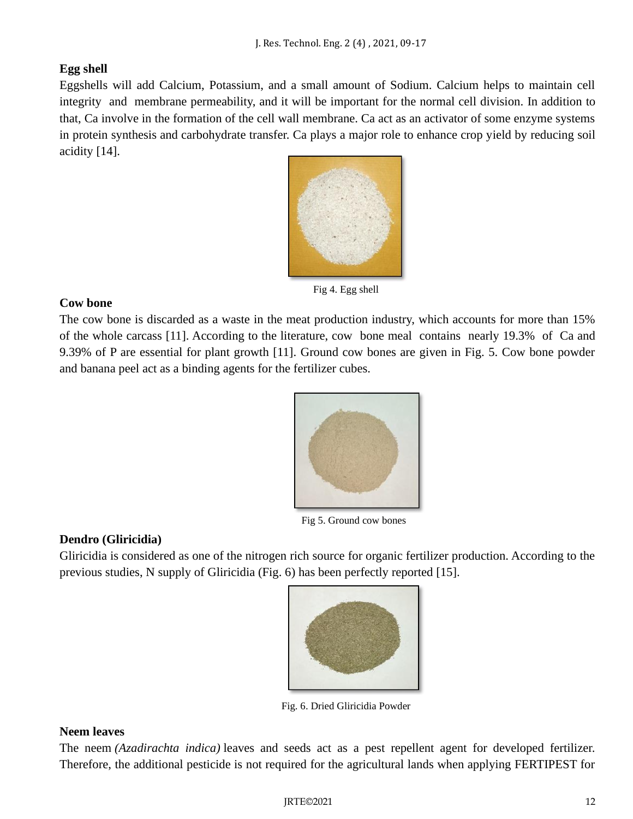# **Egg shell**

Eggshells will add Calcium, Potassium, and a small amount of Sodium. Calcium helps to maintain cell integrity and membrane permeability, and it will be important for the normal cell division. In addition to that, Ca involve in the formation of the cell wall membrane. Ca act as an activator of some enzyme systems in protein synthesis and carbohydrate transfer. Ca plays a major role to enhance crop yield by reducing soil acidity [14].



Fig 4. Egg shell

# **Cow bone**

The cow bone is discarded as a waste in the meat production industry, which accounts for more than 15% of the whole carcass [11]. According to the literature, cow bone meal contains nearly 19.3% of Ca and 9.39% of P are essential for plant growth [11]. Ground cow bones are given in Fig. 5. Cow bone powder and banana peel act as a binding agents for the fertilizer cubes.



Fig 5. Ground cow bones

# **Dendro (Gliricidia)**

Gliricidia is considered as one of the nitrogen rich source for organic fertilizer production. According to the previous studies, N supply of Gliricidia (Fig. 6) has been perfectly reported [15].



Fig. 6. Dried Gliricidia Powder

# **Neem leaves**

The neem *(Azadirachta indica)* leaves and seeds act as a pest repellent agent for developed fertilizer. Therefore, the additional pesticide is not required for the agricultural lands when applying FERTIPEST for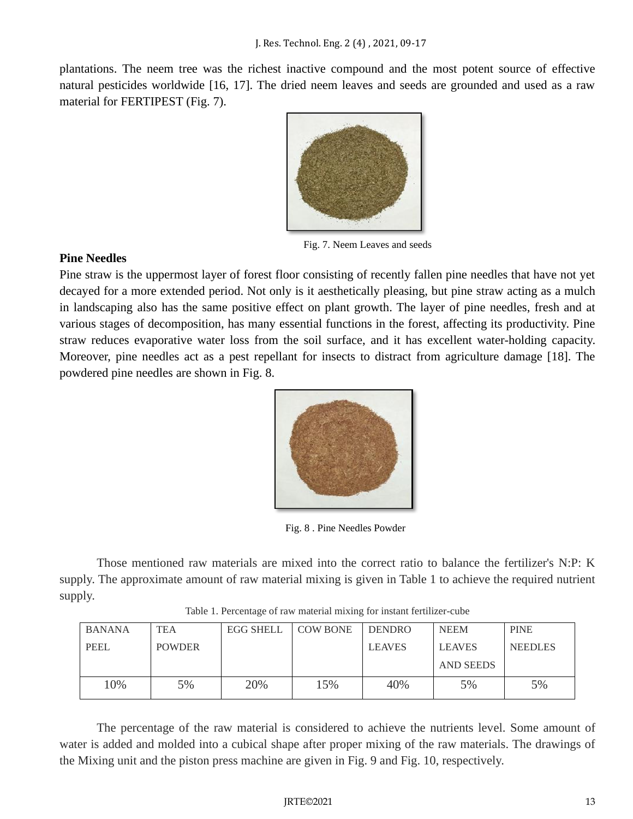plantations. The neem tree was the richest inactive compound and the most potent source of effective natural pesticides worldwide [16, 17]. The dried neem leaves and seeds are grounded and used as a raw material for FERTIPEST (Fig. 7).



Fig. 7. Neem Leaves and seeds

## **Pine Needles**

Pine straw is the uppermost layer of forest floor consisting of recently fallen pine needles that have not yet decayed for a more extended period. Not only is it aesthetically pleasing, but pine straw acting as a mulch in landscaping also has the same positive effect on plant growth. The layer of pine needles, fresh and at various stages of decomposition, has many essential functions in the forest, affecting its productivity. Pine straw reduces evaporative water loss from the soil surface, and it has excellent water-holding capacity. Moreover, pine needles act as a pest repellant for insects to distract from agriculture damage [18]. The powdered pine needles are shown in Fig. 8.



Fig. 8 . Pine Needles Powder

Those mentioned raw materials are mixed into the correct ratio to balance the fertilizer's N:P: K supply. The approximate amount of raw material mixing is given in Table 1 to achieve the required nutrient supply.

|  | Table 1. Percentage of raw material mixing for instant fertilizer-cube |  |  |  |  |
|--|------------------------------------------------------------------------|--|--|--|--|
|  |                                                                        |  |  |  |  |
|  |                                                                        |  |  |  |  |
|  |                                                                        |  |  |  |  |

| <b>BANANA</b> | <b>TEA</b>    | <b>EGG SHELL</b> | <b>COW BONE</b> | <b>DENDRO</b> | <b>NEEM</b>      | <b>PINE</b>    |
|---------------|---------------|------------------|-----------------|---------------|------------------|----------------|
| <b>PEEL</b>   | <b>POWDER</b> |                  |                 | <b>LEAVES</b> | <b>LEAVES</b>    | <b>NEEDLES</b> |
|               |               |                  |                 |               | <b>AND SEEDS</b> |                |
| 10%           | 5%            | 20%              | .5%             | 40%           | 5%               | 5%             |

The percentage of the raw material is considered to achieve the nutrients level. Some amount of water is added and molded into a cubical shape after proper mixing of the raw materials. The drawings of the Mixing unit and the piston press machine are given in Fig. 9 and Fig. 10, respectively.

#### JRTE©2021 13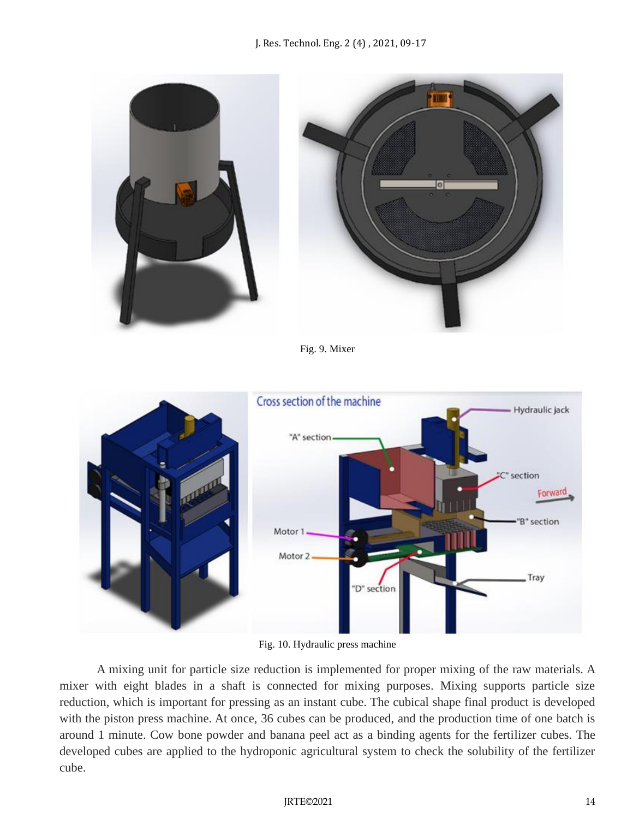

Fig. 9. Mixer



Fig. 10. Hydraulic press machine

A mixing unit for particle size reduction is implemented for proper mixing of the raw materials. A mixer with eight blades in a shaft is connected for mixing purposes. Mixing supports particle size reduction, which is important for pressing as an instant cube. The cubical shape final product is developed with the piston press machine. At once, 36 cubes can be produced, and the production time of one batch is around 1 minute. Cow bone powder and banana peel act as a binding agents for the fertilizer cubes. The developed cubes are applied to the hydroponic agricultural system to check the solubility of the fertilizer cube.

#### JRTE©2021 14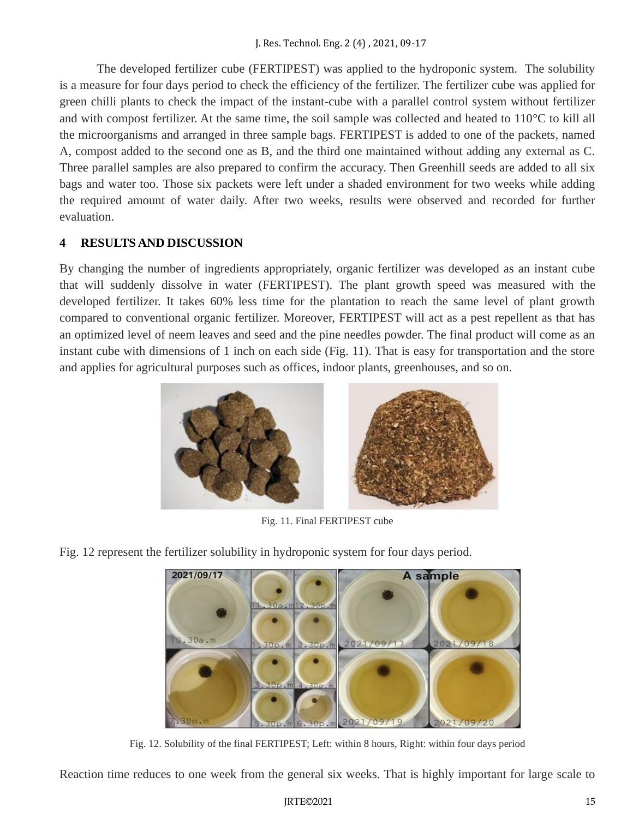The developed fertilizer cube (FERTIPEST) was applied to the hydroponic system. The solubility is a measure for four days period to check the efficiency of the fertilizer. The fertilizer cube was applied for green chilli plants to check the impact of the instant-cube with a parallel control system without fertilizer and with compost fertilizer. At the same time, the soil sample was collected and heated to 110°C to kill all the microorganisms and arranged in three sample bags. FERTIPEST is added to one of the packets, named A, compost added to the second one as B, and the third one maintained without adding any external as C. Three parallel samples are also prepared to confirm the accuracy. Then Greenhill seeds are added to all six bags and water too. Those six packets were left under a shaded environment for two weeks while adding the required amount of water daily. After two weeks, results were observed and recorded for further evaluation.

# **4 RESULTS AND DISCUSSION**

By changing the number of ingredients appropriately, organic fertilizer was developed as an instant cube that will suddenly dissolve in water (FERTIPEST). The plant growth speed was measured with the developed fertilizer. It takes 60% less time for the plantation to reach the same level of plant growth compared to conventional organic fertilizer. Moreover, FERTIPEST will act as a pest repellent as that has an optimized level of neem leaves and seed and the pine needles powder. The final product will come as an instant cube with dimensions of 1 inch on each side (Fig. 11). That is easy for transportation and the store and applies for agricultural purposes such as offices, indoor plants, greenhouses, and so on.



Fig. 11. Final FERTIPEST cube

Fig. 12 represent the fertilizer solubility in hydroponic system for four days period.



Fig. 12. Solubility of the final FERTIPEST; Left: within 8 hours, Right: within four days period

Reaction time reduces to one week from the general six weeks. That is highly important for large scale to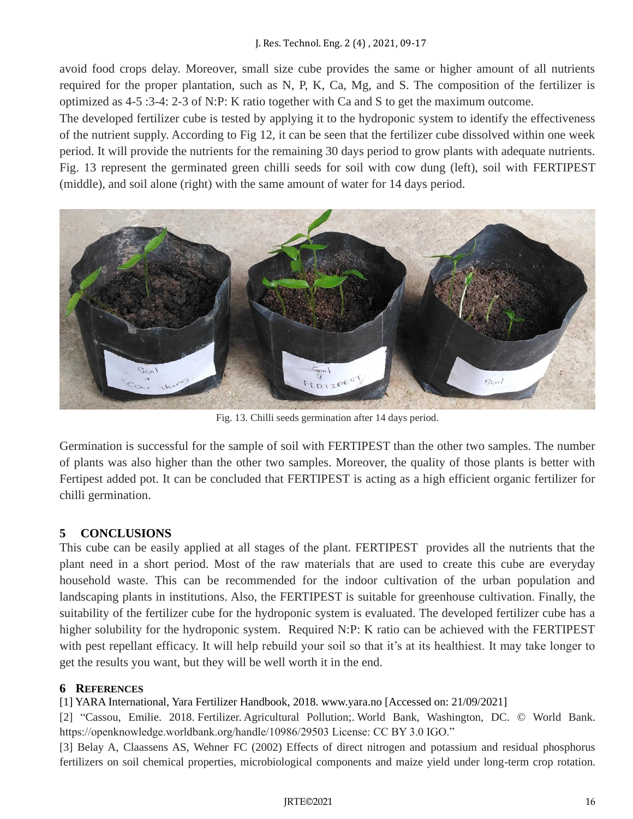## J. Res. Technol. Eng. 2 (4) , 2021, 09-17

avoid food crops delay. Moreover, small size cube provides the same or higher amount of all nutrients required for the proper plantation, such as N, P, K, Ca, Mg, and S. The composition of the fertilizer is optimized as 4-5 :3-4: 2-3 of N:P: K ratio together with Ca and S to get the maximum outcome.

The developed fertilizer cube is tested by applying it to the hydroponic system to identify the effectiveness of the nutrient supply. According to Fig 12, it can be seen that the fertilizer cube dissolved within one week period. It will provide the nutrients for the remaining 30 days period to grow plants with adequate nutrients. Fig. 13 represent the germinated green chilli seeds for soil with cow dung (left), soil with FERTIPEST (middle), and soil alone (right) with the same amount of water for 14 days period.



Fig. 13. Chilli seeds germination after 14 days period.

Germination is successful for the sample of soil with FERTIPEST than the other two samples. The number of plants was also higher than the other two samples. Moreover, the quality of those plants is better with Fertipest added pot. It can be concluded that FERTIPEST is acting as a high efficient organic fertilizer for chilli germination.

## **5 CONCLUSIONS**

This cube can be easily applied at all stages of the plant. FERTIPEST provides all the nutrients that the plant need in a short period. Most of the raw materials that are used to create this cube are everyday household waste. This can be recommended for the indoor cultivation of the urban population and landscaping plants in institutions. Also, the FERTIPEST is suitable for greenhouse cultivation. Finally, the suitability of the fertilizer cube for the hydroponic system is evaluated. The developed fertilizer cube has a higher solubility for the hydroponic system. Required N:P: K ratio can be achieved with the FERTIPEST with pest repellant efficacy. It will help rebuild your soil so that it's at its healthiest. It may take longer to get the results you want, but they will be well worth it in the end.

## **6 REFERENCES**

[1] YARA International, Yara Fertilizer Handbook, 2018. www.yara.no [Accessed on: 21/09/2021]

[2] "Cassou, Emilie. 2018. Fertilizer. Agricultural Pollution;. World Bank, Washington, DC. © World Bank. https://openknowledge.worldbank.org/handle/10986/29503 License: CC BY 3.0 IGO."

[3] Belay A, Claassens AS, Wehner FC (2002) Effects of direct nitrogen and potassium and residual phosphorus fertilizers on soil chemical properties, microbiological components and maize yield under long-term crop rotation.